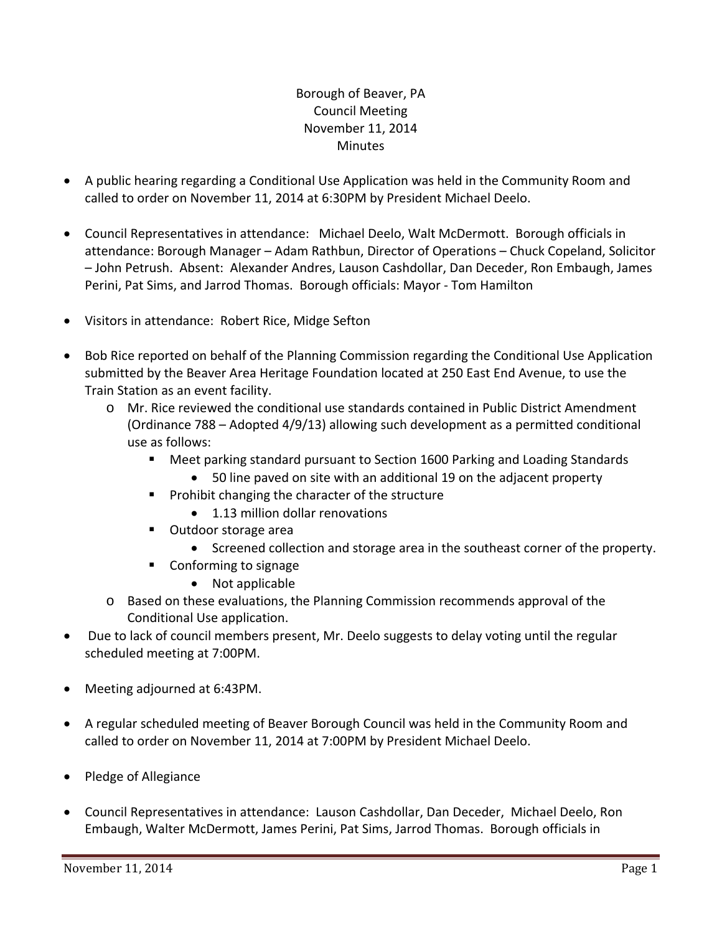# Borough of Beaver, PA Council Meeting November 11, 2014 **Minutes**

- A public hearing regarding a Conditional Use Application was held in the Community Room and called to order on November 11, 2014 at 6:30PM by President Michael Deelo.
- Council Representatives in attendance: Michael Deelo, Walt McDermott. Borough officials in attendance: Borough Manager – Adam Rathbun, Director of Operations – Chuck Copeland, Solicitor – John Petrush. Absent: Alexander Andres, Lauson Cashdollar, Dan Deceder, Ron Embaugh, James Perini, Pat Sims, and Jarrod Thomas. Borough officials: Mayor ‐ Tom Hamilton
- Visitors in attendance: Robert Rice, Midge Sefton
- Bob Rice reported on behalf of the Planning Commission regarding the Conditional Use Application submitted by the Beaver Area Heritage Foundation located at 250 East End Avenue, to use the Train Station as an event facility.
	- o Mr. Rice reviewed the conditional use standards contained in Public District Amendment (Ordinance 788 – Adopted 4/9/13) allowing such development as a permitted conditional use as follows:
		- Meet parking standard pursuant to Section 1600 Parking and Loading Standards
			- 50 line paved on site with an additional 19 on the adjacent property
		- $\blacksquare$  Prohibit changing the character of the structure
			- 1.13 million dollar renovations
		- Outdoor storage area
			- Screened collection and storage area in the southeast corner of the property.
		- Conforming to signage
			- Not applicable
	- o Based on these evaluations, the Planning Commission recommends approval of the Conditional Use application.
- Due to lack of council members present, Mr. Deelo suggests to delay voting until the regular scheduled meeting at 7:00PM.
- Meeting adjourned at 6:43PM.
- A regular scheduled meeting of Beaver Borough Council was held in the Community Room and called to order on November 11, 2014 at 7:00PM by President Michael Deelo.
- Pledge of Allegiance
- Council Representatives in attendance: Lauson Cashdollar, Dan Deceder, Michael Deelo, Ron Embaugh, Walter McDermott, James Perini, Pat Sims, Jarrod Thomas. Borough officials in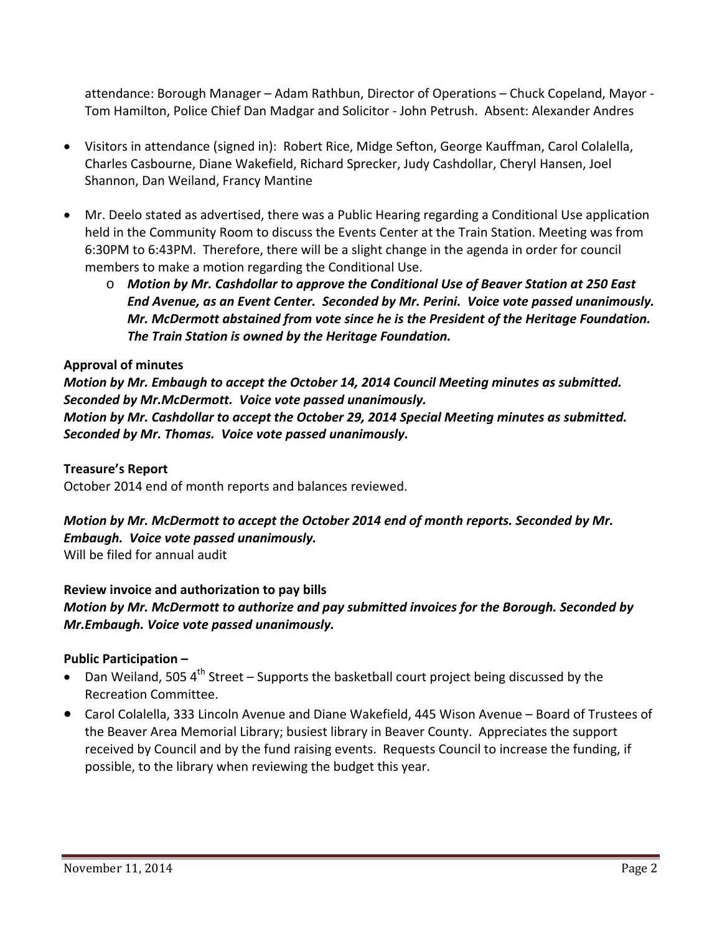attendance: Borough Manager – Adam Rathbun, Director of Operations – Chuck Copeland, Mayor ‐ Tom Hamilton, Police Chief Dan Madgar and Solicitor ‐ John Petrush. Absent: Alexander Andres

- Visitors in attendance (signed in): Robert Rice, Midge Sefton, George Kauffman, Carol Colalella, Charles Casbourne, Diane Wakefield, Richard Sprecker, Judy Cashdollar, Cheryl Hansen, Joel Shannon, Dan Weiland, Francy Mantine
- Mr. Deelo stated as advertised, there was a Public Hearing regarding a Conditional Use application held in the Community Room to discuss the Events Center at the Train Station. Meeting was from 6:30PM to 6:43PM. Therefore, there will be a slight change in the agenda in order for council members to make a motion regarding the Conditional Use.
	- o *Motion by Mr. Cashdollar to approve the Conditional Use of Beaver Station at 250 East End Avenue, as an Event Center. Seconded by Mr. Perini. Voice vote passed unanimously. Mr. McDermott abstained from vote since he is the President of the Heritage Foundation. The Train Station is owned by the Heritage Foundation.*

## **Approval of minutes**

*Motion by Mr. Embaugh to accept the October 14, 2014 Council Meeting minutes as submitted. Seconded by Mr.McDermott. Voice vote passed unanimously.* 

*Motion by Mr. Cashdollar to accept the October 29, 2014 Special Meeting minutes as submitted. Seconded by Mr. Thomas. Voice vote passed unanimously.*

#### **Treasure's Report**

October 2014 end of month reports and balances reviewed.

*Motion by Mr. McDermott to accept the October 2014 end of month reports. Seconded by Mr. Embaugh. Voice vote passed unanimously.*

Will be filed for annual audit

#### **Review invoice and authorization to pay bills**

*Motion by Mr. McDermott to authorize and pay submitted invoices for the Borough. Seconded by Mr.Embaugh. Voice vote passed unanimously.*

#### **Public Participation –**

- **•** Dan Weiland, 505 4<sup>th</sup> Street Supports the basketball court project being discussed by the Recreation Committee.
- Carol Colalella, 333 Lincoln Avenue and Diane Wakefield, 445 Wison Avenue Board of Trustees of the Beaver Area Memorial Library; busiest library in Beaver County. Appreciates the support received by Council and by the fund raising events. Requests Council to increase the funding, if possible, to the library when reviewing the budget this year.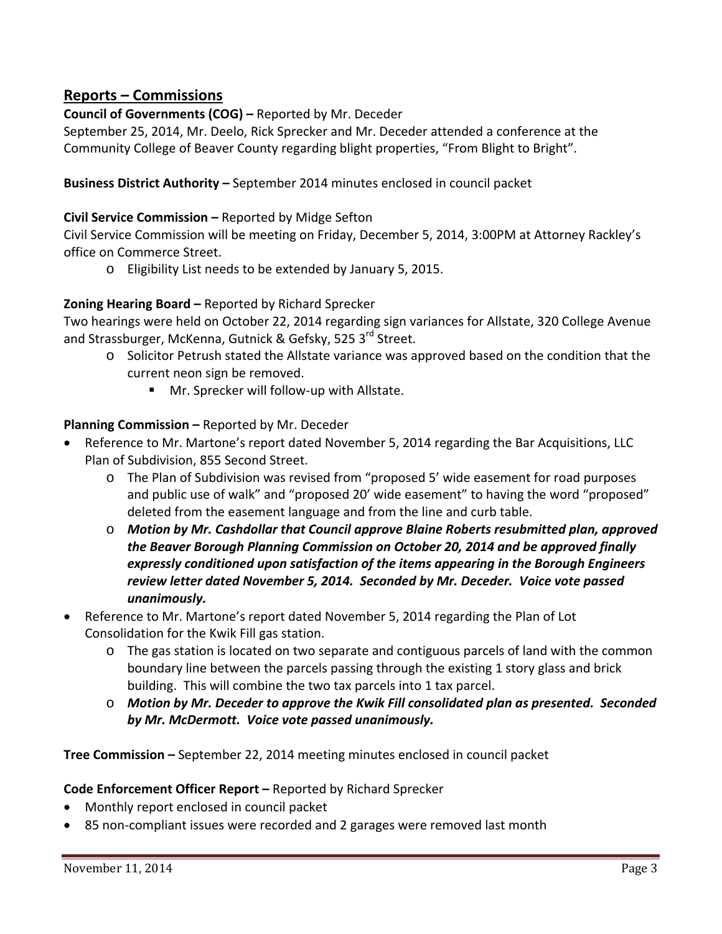# **Reports – Commissions**

**Council of Governments (COG) –** Reported by Mr. Deceder

September 25, 2014, Mr. Deelo, Rick Sprecker and Mr. Deceder attended a conference at the Community College of Beaver County regarding blight properties, "From Blight to Bright".

**Business District Authority –** September 2014 minutes enclosed in council packet

## **Civil Service Commission –** Reported by Midge Sefton

Civil Service Commission will be meeting on Friday, December 5, 2014, 3:00PM at Attorney Rackley's office on Commerce Street.

o Eligibility List needs to be extended by January 5, 2015.

## **Zoning Hearing Board –** Reported by Richard Sprecker

Two hearings were held on October 22, 2014 regarding sign variances for Allstate, 320 College Avenue and Strassburger, McKenna, Gutnick & Gefsky, 525 3<sup>rd</sup> Street.

- o Solicitor Petrush stated the Allstate variance was approved based on the condition that the current neon sign be removed.
	- Mr. Sprecker will follow-up with Allstate.

## **Planning Commission –** Reported by Mr. Deceder

- Reference to Mr. Martone's report dated November 5, 2014 regarding the Bar Acquisitions, LLC Plan of Subdivision, 855 Second Street.
	- o The Plan of Subdivision was revised from "proposed 5' wide easement for road purposes and public use of walk" and "proposed 20' wide easement" to having the word "proposed" deleted from the easement language and from the line and curb table.
	- o *Motion by Mr. Cashdollar that Council approve Blaine Roberts resubmitted plan, approved the Beaver Borough Planning Commission on October 20, 2014 and be approved finally expressly conditioned upon satisfaction of the items appearing in the Borough Engineers review letter dated November 5, 2014. Seconded by Mr. Deceder. Voice vote passed unanimously.*
- Reference to Mr. Martone's report dated November 5, 2014 regarding the Plan of Lot Consolidation for the Kwik Fill gas station.
	- o The gas station is located on two separate and contiguous parcels of land with the common boundary line between the parcels passing through the existing 1 story glass and brick building. This will combine the two tax parcels into 1 tax parcel.
	- o *Motion by Mr. Deceder to approve the Kwik Fill consolidated plan as presented. Seconded by Mr. McDermott. Voice vote passed unanimously.*

**Tree Commission –** September 22, 2014 meeting minutes enclosed in council packet

## **Code Enforcement Officer Report –** Reported by Richard Sprecker

- Monthly report enclosed in council packet
- 85 non-compliant issues were recorded and 2 garages were removed last month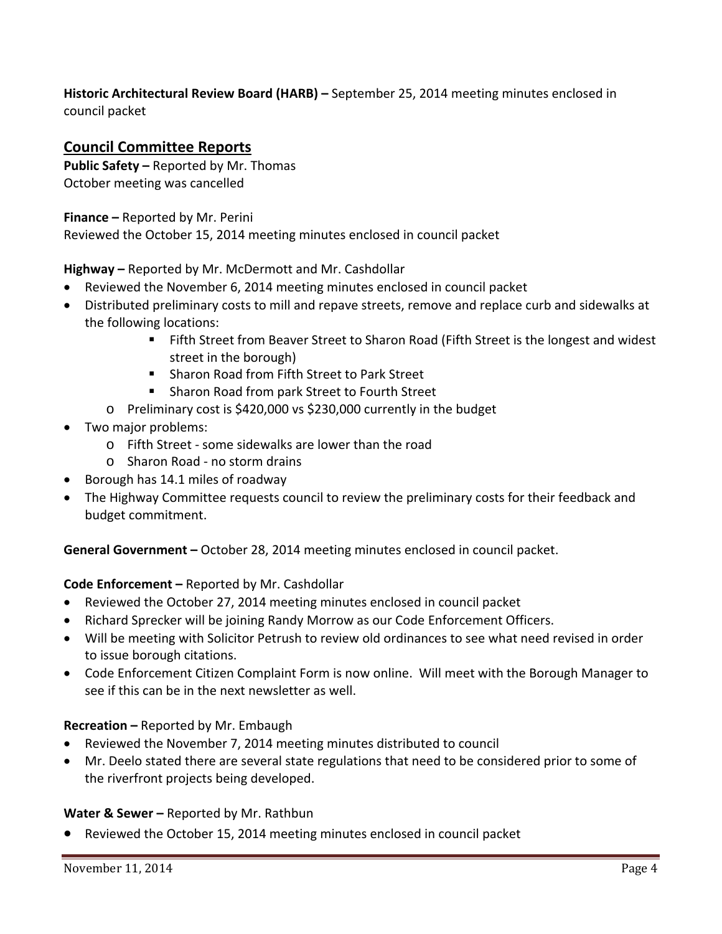## **Historic Architectural Review Board (HARB) –** September 25, 2014 meeting minutes enclosed in council packet

# **Council Committee Reports**

**Public Safety –** Reported by Mr. Thomas October meeting was cancelled

**Finance –** Reported by Mr. Perini

Reviewed the October 15, 2014 meeting minutes enclosed in council packet

**Highway –** Reported by Mr. McDermott and Mr. Cashdollar

- Reviewed the November 6, 2014 meeting minutes enclosed in council packet
- Distributed preliminary costs to mill and repave streets, remove and replace curb and sidewalks at the following locations:
	- Fifth Street from Beaver Street to Sharon Road (Fifth Street is the longest and widest street in the borough)
	- Sharon Road from Fifth Street to Park Street
	- **Sharon Road from park Street to Fourth Street**
	- o Preliminary cost is \$420,000 vs \$230,000 currently in the budget
- Two major problems:
	- o Fifth Street ‐ some sidewalks are lower than the road
	- o Sharon Road ‐ no storm drains
- Borough has 14.1 miles of roadway
- The Highway Committee requests council to review the preliminary costs for their feedback and budget commitment.

**General Government –** October 28, 2014 meeting minutes enclosed in council packet.

## **Code Enforcement –** Reported by Mr. Cashdollar

- Reviewed the October 27, 2014 meeting minutes enclosed in council packet
- Richard Sprecker will be joining Randy Morrow as our Code Enforcement Officers.
- Will be meeting with Solicitor Petrush to review old ordinances to see what need revised in order to issue borough citations.
- Code Enforcement Citizen Complaint Form is now online. Will meet with the Borough Manager to see if this can be in the next newsletter as well.

#### **Recreation –** Reported by Mr. Embaugh

- Reviewed the November 7, 2014 meeting minutes distributed to council
- Mr. Deelo stated there are several state regulations that need to be considered prior to some of the riverfront projects being developed.

#### **Water & Sewer –** Reported by Mr. Rathbun

Reviewed the October 15, 2014 meeting minutes enclosed in council packet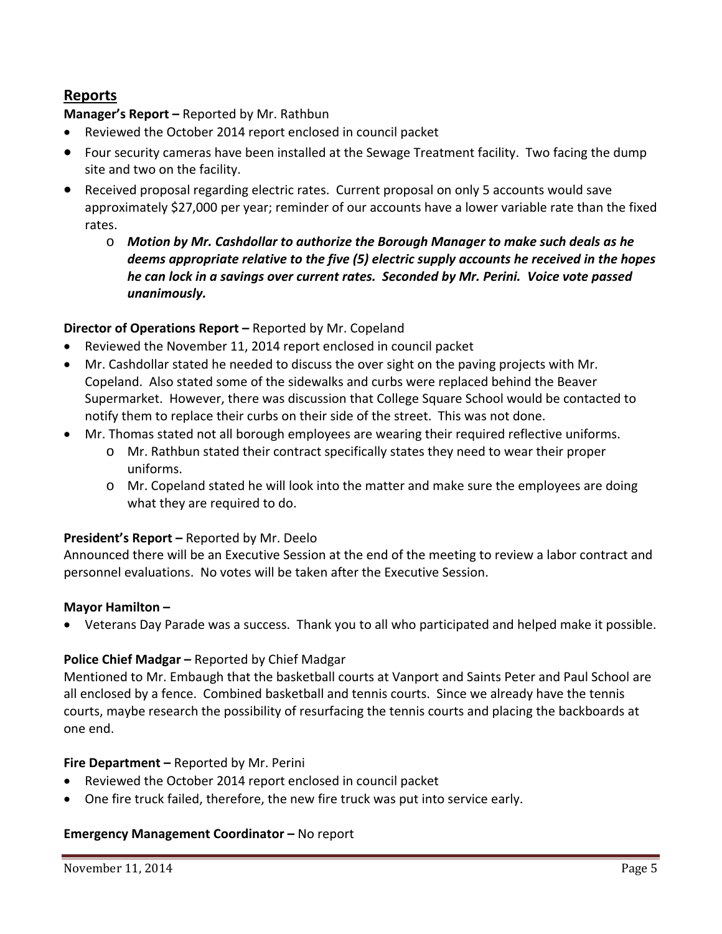# **Reports**

## **Manager's Report –** Reported by Mr. Rathbun

- Reviewed the October 2014 report enclosed in council packet
- Four security cameras have been installed at the Sewage Treatment facility. Two facing the dump site and two on the facility.
- Received proposal regarding electric rates. Current proposal on only 5 accounts would save approximately \$27,000 per year; reminder of our accounts have a lower variable rate than the fixed rates.
	- o *Motion by Mr. Cashdollar to authorize the Borough Manager to make such deals as he deems appropriate relative to the five (5) electric supply accounts he received in the hopes he can lock in a savings over current rates. Seconded by Mr. Perini. Voice vote passed unanimously.*

## **Director of Operations Report –** Reported by Mr. Copeland

- Reviewed the November 11, 2014 report enclosed in council packet
- Mr. Cashdollar stated he needed to discuss the over sight on the paving projects with Mr. Copeland. Also stated some of the sidewalks and curbs were replaced behind the Beaver Supermarket. However, there was discussion that College Square School would be contacted to notify them to replace their curbs on their side of the street. This was not done.
- Mr. Thomas stated not all borough employees are wearing their required reflective uniforms.
	- o Mr. Rathbun stated their contract specifically states they need to wear their proper uniforms.
	- o Mr. Copeland stated he will look into the matter and make sure the employees are doing what they are required to do.

## **President's Report –** Reported by Mr. Deelo

Announced there will be an Executive Session at the end of the meeting to review a labor contract and personnel evaluations. No votes will be taken after the Executive Session.

## **Mayor Hamilton –**

Veterans Day Parade was a success. Thank you to all who participated and helped make it possible.

## **Police Chief Madgar –** Reported by Chief Madgar

Mentioned to Mr. Embaugh that the basketball courts at Vanport and Saints Peter and Paul School are all enclosed by a fence. Combined basketball and tennis courts. Since we already have the tennis courts, maybe research the possibility of resurfacing the tennis courts and placing the backboards at one end.

## **Fire Department –** Reported by Mr. Perini

- Reviewed the October 2014 report enclosed in council packet
- One fire truck failed, therefore, the new fire truck was put into service early.

## **Emergency Management Coordinator –** No report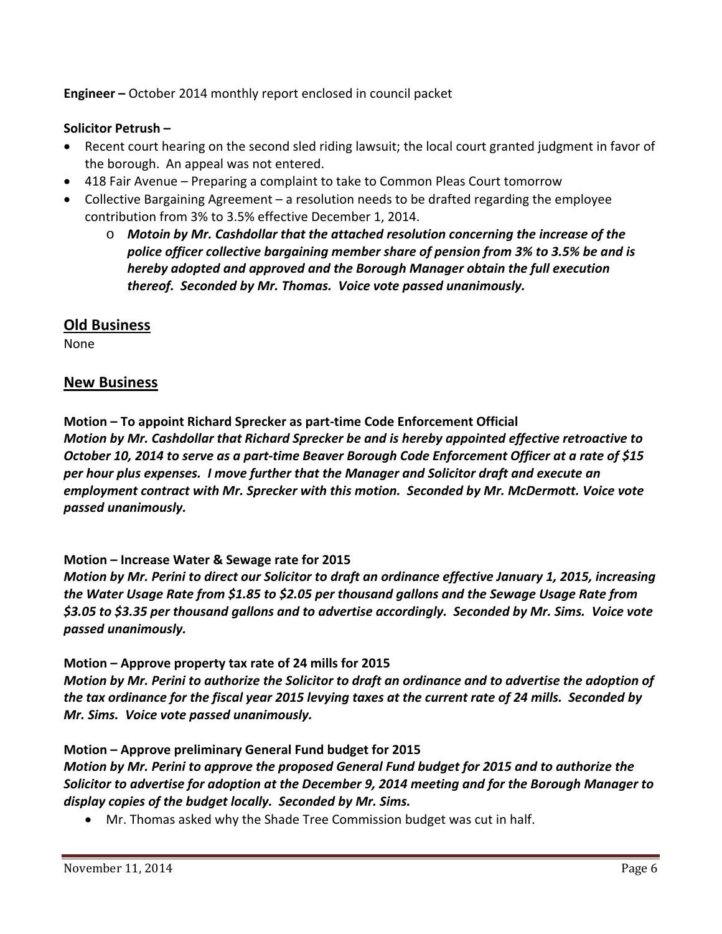**Engineer –** October 2014 monthly report enclosed in council packet

## **Solicitor Petrush –**

- Recent court hearing on the second sled riding lawsuit; the local court granted judgment in favor of the borough. An appeal was not entered.
- 418 Fair Avenue Preparing a complaint to take to Common Pleas Court tomorrow
- Collective Bargaining Agreement a resolution needs to be drafted regarding the employee contribution from 3% to 3.5% effective December 1, 2014.
	- o *Motoin by Mr. Cashdollar that the attached resolution concerning the increase of the police officer collective bargaining member share of pension from 3% to 3.5% be and is hereby adopted and approved and the Borough Manager obtain the full execution thereof. Seconded by Mr. Thomas. Voice vote passed unanimously.*

# **Old Business**

None

# **New Business**

**Motion – To appoint Richard Sprecker as part‐time Code Enforcement Official** *Motion by Mr. Cashdollar that Richard Sprecker be and is hereby appointed effective retroactive to* October 10, 2014 to serve as a part-time Beaver Borough Code Enforcement Officer at a rate of \$15 *per hour plus expenses. I move further that the Manager and Solicitor draft and execute an employment contract with Mr. Sprecker with this motion. Seconded by Mr. McDermott. Voice vote passed unanimously.*

## **Motion – Increase Water & Sewage rate for 2015**

*Motion by Mr. Perini to direct our Solicitor to draft an ordinance effective January 1, 2015, increasing the Water Usage Rate from \$1.85 to \$2.05 per thousand gallons and the Sewage Usage Rate from* \$3.05 to \$3.35 per thousand gallons and to advertise accordingly. Seconded by Mr. Sims. Voice vote *passed unanimously.*

## **Motion – Approve property tax rate of 24 mills for 2015**

Motion by Mr. Perini to authorize the Solicitor to draft an ordinance and to advertise the adoption of the tax ordinance for the fiscal year 2015 levying taxes at the current rate of 24 mills. Seconded by *Mr. Sims. Voice vote passed unanimously.*

## **Motion – Approve preliminary General Fund budget for 2015**

*Motion by Mr. Perini to approve the proposed General Fund budget for 2015 and to authorize the Solicitor to advertise for adoption at the December 9, 2014 meeting and for the Borough Manager to display copies of the budget locally. Seconded by Mr. Sims.* 

Mr. Thomas asked why the Shade Tree Commission budget was cut in half.